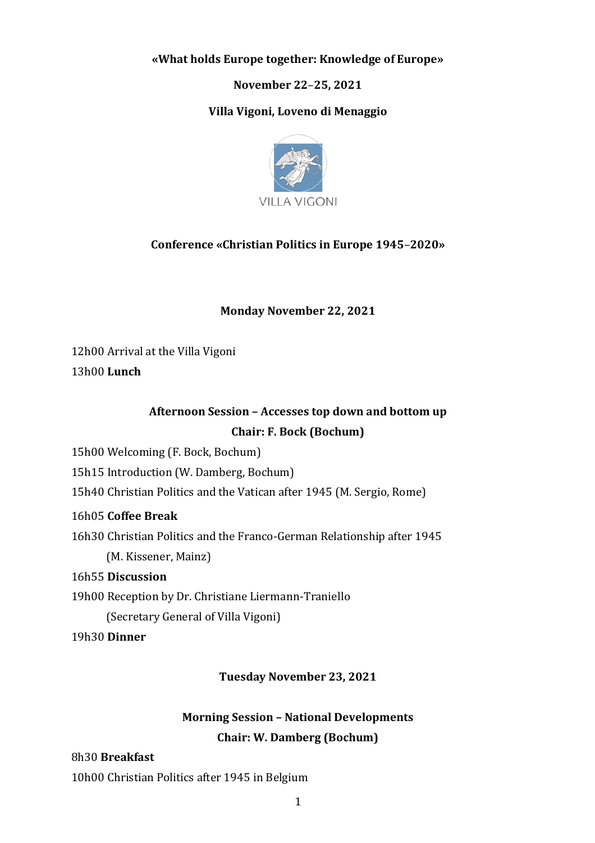#### **«What holds Europe together: Knowledge of Europe»**

**November 22**–**25, 2021**

#### **Villa Vigoni, Loveno di Menaggio**



## **Conference «Christian Politics in Europe 1945**–**2020»**

#### **Monday November 22, 2021**

12h00 Arrival at the Villa Vigoni

13h00 **Lunch**

## **Afternoon Session – Accesses top down and bottom up Chair: F. Bock (Bochum)**

15h00 Welcoming (F. Bock, Bochum)

15h15 Introduction (W. Damberg, Bochum)

15h40 Christian Politics and the Vatican after 1945 (M. Sergio, Rome)

#### 16h05 **Coffee Break**

16h30 Christian Politics and the Franco-German Relationship after 1945 (M. Kissener, Mainz)

16h55 **Discussion**

19h00 Reception by Dr. Christiane Liermann-Traniello

(Secretary General of Villa Vigoni)

19h30 **Dinner**

**Tuesday November 23, 2021**

## **Morning Session – National Developments Chair: W. Damberg (Bochum)**

#### 8h30 **Breakfast**

10h00 Christian Politics after 1945 in Belgium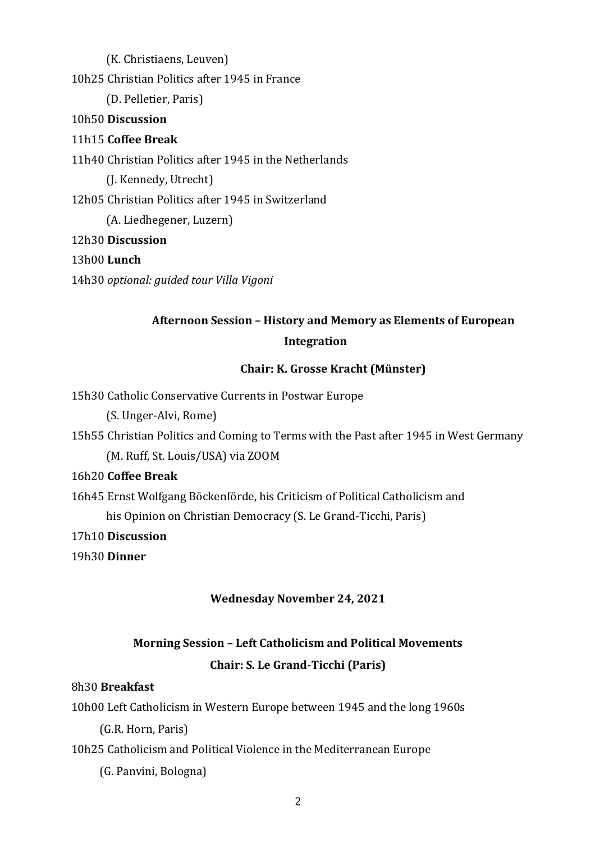(K. Christiaens, Leuven)

10h25 Christian Politics after 1945 in France

(D. Pelletier, Paris)

### 10h50 **Discussion**

## 11h15 **Coffee Break**

11h40 Christian Politics after 1945 in the Netherlands

(J. Kennedy, Utrecht)

12h05 Christian Politics after 1945 in Switzerland

(A. Liedhegener, Luzern)

#### 12h30 **Discussion**

## 13h00 **Lunch**

14h30 *optional: guided tour Villa Vigoni*

# **Afternoon Session – History and Memory as Elements of European Integration**

## **Chair: K. Grosse Kracht (Münster)**

15h30 Catholic Conservative Currents in Postwar Europe

(S. Unger-Alvi, Rome)

15h55 Christian Politics and Coming to Terms with the Past after 1945 in West Germany (M. Ruff, St. Louis/USA) via ZOOM

#### 16h20 **Coffee Break**

16h45 Ernst Wolfgang Böckenförde, his Criticism of Political Catholicism and

his Opinion on Christian Democracy (S. Le Grand-Ticchi, Paris)

17h10 **Discussion**

19h30 **Dinner**

## **Wednesday November 24, 2021**

# **Morning Session – Left Catholicism and Political Movements Chair: S. Le Grand-Ticchi (Paris)**

#### 8h30 **Breakfast**

10h00 Left Catholicism in Western Europe between 1945 and the long 1960s

(G.R. Horn, Paris)

## 10h25 Catholicism and Political Violence in the Mediterranean Europe

(G. Panvini, Bologna)